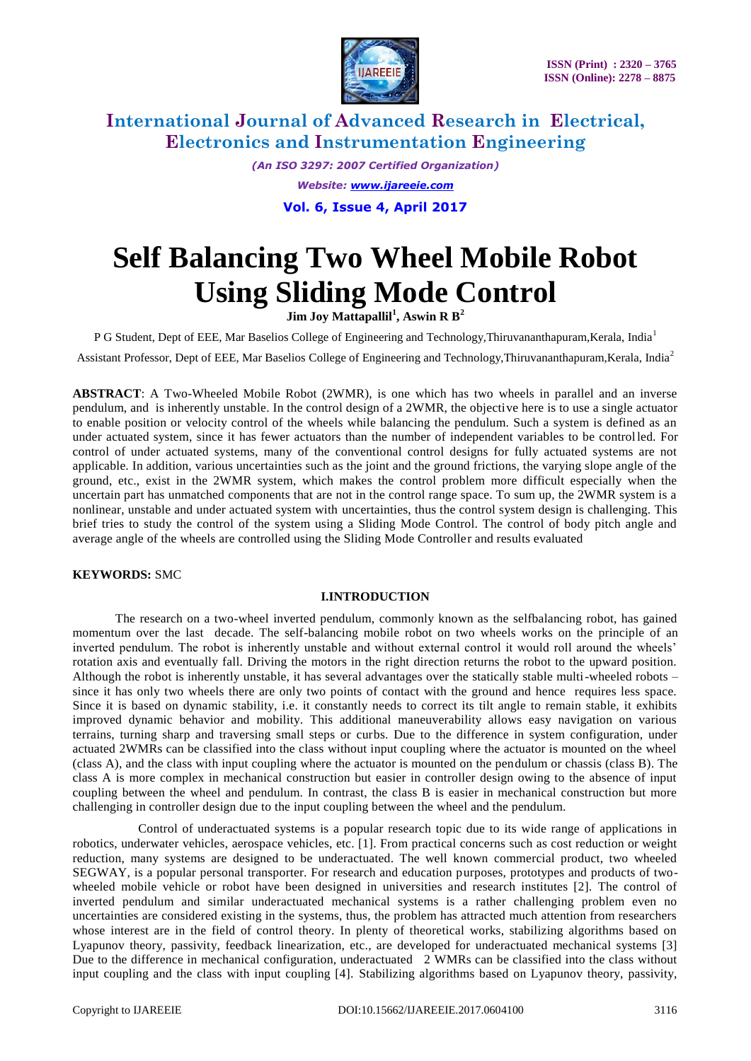

*(An ISO 3297: 2007 Certified Organization) Website: www.ijareeie.com*

**Vol. 6, Issue 4, April 2017**

# **Self Balancing Two Wheel Mobile Robot Using Sliding Mode Control**

**Jim Joy Mattapallil<sup>1</sup> , Aswin R B<sup>2</sup>**

P G Student, Dept of EEE, Mar Baselios College of Engineering and Technology,Thiruvananthapuram,Kerala, India<sup>1</sup>

Assistant Professor, Dept of EEE, Mar Baselios College of Engineering and Technology,Thiruvananthapuram,Kerala, India<sup>2</sup>

**ABSTRACT**: A Two-Wheeled Mobile Robot (2WMR), is one which has two wheels in parallel and an inverse pendulum, and is inherently unstable. In the control design of a 2WMR, the objective here is to use a single actuator to enable position or velocity control of the wheels while balancing the pendulum. Such a system is defined as an under actuated system, since it has fewer actuators than the number of independent variables to be controlled. For control of under actuated systems, many of the conventional control designs for fully actuated systems are not applicable. In addition, various uncertainties such as the joint and the ground frictions, the varying slope angle of the ground, etc., exist in the 2WMR system, which makes the control problem more difficult especially when the uncertain part has unmatched components that are not in the control range space. To sum up, the 2WMR system is a nonlinear, unstable and under actuated system with uncertainties, thus the control system design is challenging. This brief tries to study the control of the system using a Sliding Mode Control. The control of body pitch angle and average angle of the wheels are controlled using the Sliding Mode Controller and results evaluated

### **KEYWORDS:** SMC

### **I.INTRODUCTION**

 The research on a two-wheel inverted pendulum, commonly known as the selfbalancing robot, has gained momentum over the last decade. The self-balancing mobile robot on two wheels works on the principle of an inverted pendulum. The robot is inherently unstable and without external control it would roll around the wheels' rotation axis and eventually fall. Driving the motors in the right direction returns the robot to the upward position. Although the robot is inherently unstable, it has several advantages over the statically stable multi-wheeled robots – since it has only two wheels there are only two points of contact with the ground and hence requires less space. Since it is based on dynamic stability, i.e. it constantly needs to correct its tilt angle to remain stable, it exhibits improved dynamic behavior and mobility. This additional maneuverability allows easy navigation on various terrains, turning sharp and traversing small steps or curbs. Due to the difference in system configuration, under actuated 2WMRs can be classified into the class without input coupling where the actuator is mounted on the wheel (class A), and the class with input coupling where the actuator is mounted on the pendulum or chassis (class B). The class A is more complex in mechanical construction but easier in controller design owing to the absence of input coupling between the wheel and pendulum. In contrast, the class B is easier in mechanical construction but more challenging in controller design due to the input coupling between the wheel and the pendulum.

 Control of underactuated systems is a popular research topic due to its wide range of applications in robotics, underwater vehicles, aerospace vehicles, etc. [1]. From practical concerns such as cost reduction or weight reduction, many systems are designed to be underactuated. The well known commercial product, two wheeled SEGWAY, is a popular personal transporter. For research and education purposes, prototypes and products of twowheeled mobile vehicle or robot have been designed in universities and research institutes [2]. The control of inverted pendulum and similar underactuated mechanical systems is a rather challenging problem even no uncertainties are considered existing in the systems, thus, the problem has attracted much attention from researchers whose interest are in the field of control theory. In plenty of theoretical works, stabilizing algorithms based on Lyapunov theory, passivity, feedback linearization, etc., are developed for underactuated mechanical systems [3] Due to the difference in mechanical configuration, underactuated 2 WMRs can be classified into the class without input coupling and the class with input coupling [4]. Stabilizing algorithms based on Lyapunov theory, passivity,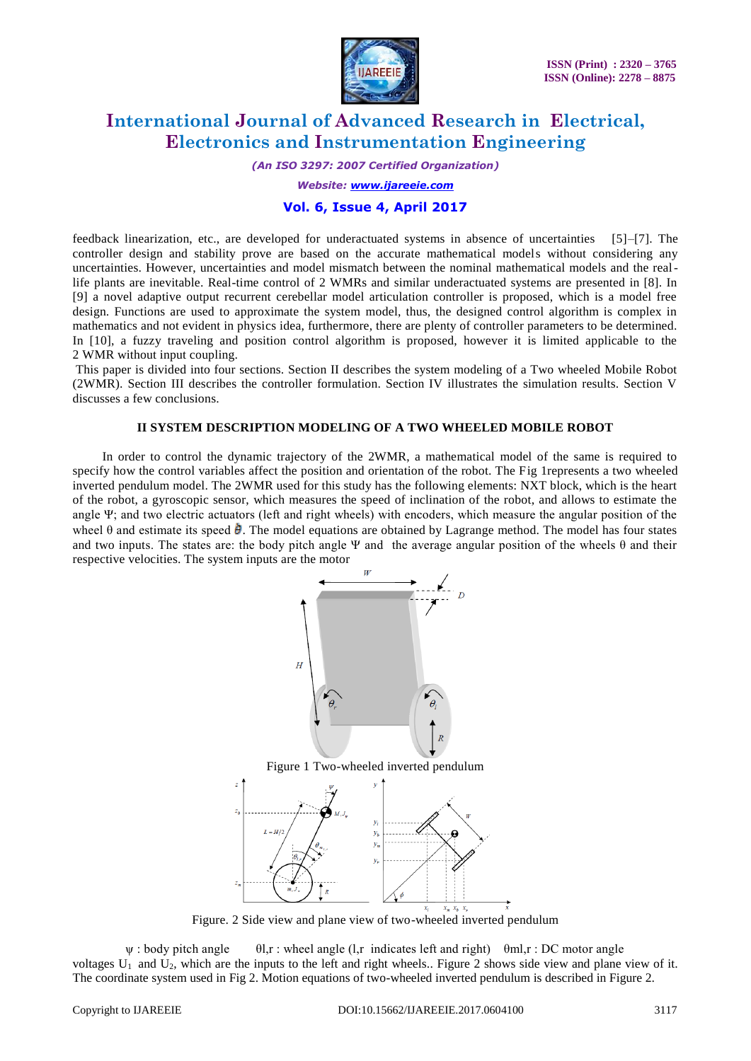

*(An ISO 3297: 2007 Certified Organization)*

*Website: www.ijareeie.com*

#### **Vol. 6, Issue 4, April 2017**

feedback linearization, etc., are developed for underactuated systems in absence of uncertainties [5]–[7]. The controller design and stability prove are based on the accurate mathematical models without considering any uncertainties. However, uncertainties and model mismatch between the nominal mathematical models and the reallife plants are inevitable. Real-time control of 2 WMRs and similar underactuated systems are presented in [8]. In [9] a novel adaptive output recurrent cerebellar model articulation controller is proposed, which is a model free design. Functions are used to approximate the system model, thus, the designed control algorithm is complex in mathematics and not evident in physics idea, furthermore, there are plenty of controller parameters to be determined. In [10], a fuzzy traveling and position control algorithm is proposed, however it is limited applicable to the 2 WMR without input coupling.

This paper is divided into four sections. Section II describes the system modeling of a Two wheeled Mobile Robot (2WMR). Section III describes the controller formulation. Section IV illustrates the simulation results. Section V discusses a few conclusions.

#### **II SYSTEM DESCRIPTION MODELING OF A TWO WHEELED MOBILE ROBOT**

 In order to control the dynamic trajectory of the 2WMR, a mathematical model of the same is required to specify how the control variables affect the position and orientation of the robot. The Fig 1represents a two wheeled inverted pendulum model. The 2WMR used for this study has the following elements: NXT block, which is the heart of the robot, a gyroscopic sensor, which measures the speed of inclination of the robot, and allows to estimate the angle Ψ; and two electric actuators (left and right wheels) with encoders, which measure the angular position of the wheel  $\theta$  and estimate its speed  $\dot{\theta}$ . The model equations are obtained by Lagrange method. The model has four states and two inputs. The states are: the body pitch angle Ψ and the average angular position of the wheels  $\theta$  and their respective velocities. The system inputs are the motor



Figure. 2 Side view and plane view of two-wheeled inverted pendulum

 $\psi$ : body pitch angle  $\qquad$  θl,r : wheel angle (l,r indicates left and right)  $\qquad$  θml,r : DC motor angle voltages  $U_1$  and  $U_2$ , which are the inputs to the left and right wheels.. Figure 2 shows side view and plane view of it. The coordinate system used in Fig 2. Motion equations of two-wheeled inverted pendulum is described in Figure 2.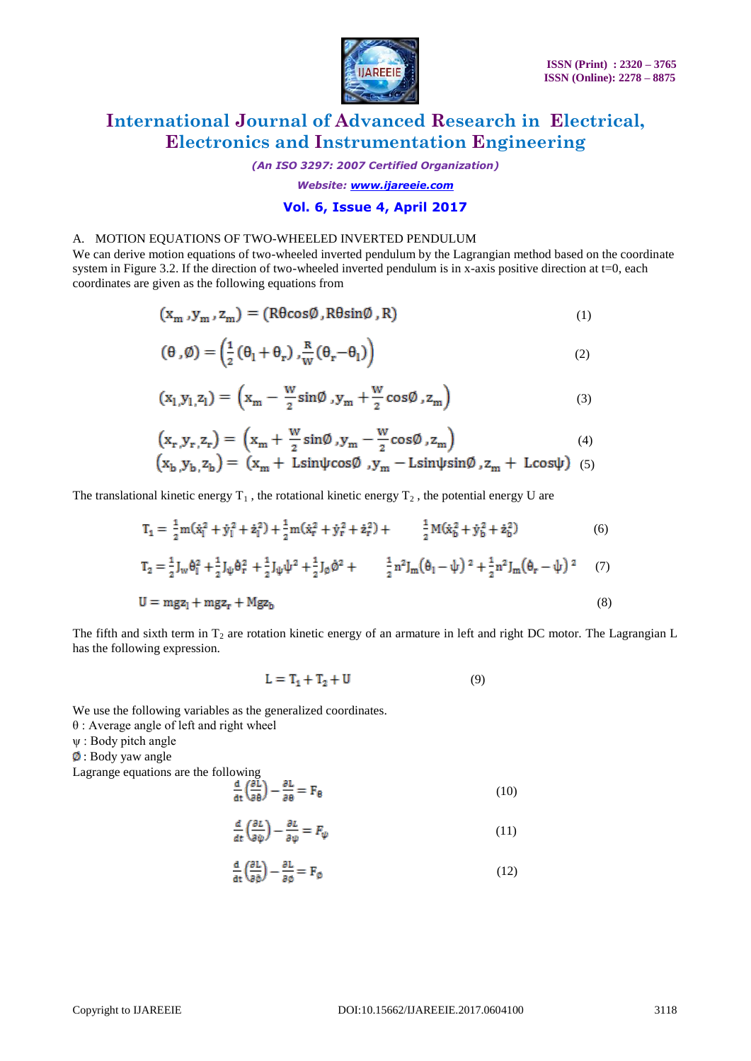

*(An ISO 3297: 2007 Certified Organization)*

*Website: www.ijareeie.com*

### **Vol. 6, Issue 4, April 2017**

#### A. MOTION EQUATIONS OF TWO-WHEELED INVERTED PENDULUM

We can derive motion equations of two-wheeled inverted pendulum by the Lagrangian method based on the coordinate system in Figure 3.2. If the direction of two-wheeled inverted pendulum is in x-axis positive direction at  $t=0$ , each coordinates are given as the following equations from

$$
(\mathbf{x}_{\mathbf{m}}, \mathbf{y}_{\mathbf{m}}, \mathbf{z}_{\mathbf{m}}) = (\mathbf{R}\theta\cos\emptyset, \mathbf{R}\theta\sin\emptyset, \mathbf{R})
$$
\n(1)

$$
(\theta,\emptyset) = \left(\frac{1}{2}(\theta_1 + \theta_r), \frac{R}{W}(\theta_r - \theta_l)\right)
$$
\n(2)

$$
(\mathbf{x}_1, \mathbf{y}_1, \mathbf{z}_1) = \left(\mathbf{x}_m - \frac{\mathbf{w}}{2}\sin\theta, \mathbf{y}_m + \frac{\mathbf{w}}{2}\cos\theta, \mathbf{z}_m\right) \tag{3}
$$

$$
\left(\mathbf{x}_{\mathbf{r}}^{\prime}, \mathbf{y}_{\mathbf{r}}^{\prime}, \mathbf{z}_{\mathbf{r}}\right) = \left(\mathbf{x}_{\mathbf{m}} + \frac{\mathbf{w}}{2}\sin\theta^{\prime}, \mathbf{y}_{\mathbf{m}} - \frac{\mathbf{w}}{2}\cos\theta^{\prime}, \mathbf{z}_{\mathbf{m}}\right) \tag{4}
$$

$$
(x_b, y_b, z_b) = (x_m + L\sin\psi\cos\theta, y_m - L\sin\psi\sin\theta, z_m + L\cos\psi)
$$
 (5)

The translational kinetic energy  $T_1$ , the rotational kinetic energy  $T_2$ , the potential energy U are

$$
T_1 = \frac{1}{2}m(\dot{x}_1^2 + \dot{y}_1^2 + \dot{z}_1^2) + \frac{1}{2}m(\dot{x}_r^2 + \dot{y}_r^2 + \dot{z}_r^2) + \qquad \frac{1}{2}M(\dot{x}_b^2 + \dot{y}_b^2 + \dot{z}_b^2)
$$
(6)

$$
T_2 = \frac{1}{2} J_w \dot{\theta}_1^2 + \frac{1}{2} J_\psi \dot{\theta}_r^2 + \frac{1}{2} J_\psi \dot{\psi}^2 + \frac{1}{2} J_\emptyset \dot{\phi}^2 + \frac{1}{2} n^2 J_m (\dot{\theta}_1 - \dot{\psi})^2 + \frac{1}{2} n^2 J_m (\dot{\theta}_r - \dot{\psi})^2 \tag{7}
$$

$$
U = mgz_1 + mgz_r + Mgz_b \tag{8}
$$

The fifth and sixth term in  $T_2$  are rotation kinetic energy of an armature in left and right DC motor. The Lagrangian L has the following expression.

$$
L = T_1 + T_2 + U \tag{9}
$$

We use the following variables as the generalized coordinates.

- θ : Average angle of left and right wheel
- ψ : Body pitch angle
- $\phi$ : Body yaw angle

Lagrange equations are the following<br> $\frac{d}{dt} \left( \frac{\partial L}{\partial \theta} \right)$ 

$$
\left(\frac{\partial L}{\partial \theta}\right) - \frac{\partial L}{\partial \theta} = F_{\theta} \tag{10}
$$

$$
\frac{d}{dt}\left(\frac{\partial L}{\partial \dot{\psi}}\right) - \frac{\partial L}{\partial \psi} = F_{\psi} \tag{11}
$$

$$
\frac{\mathrm{d}}{\mathrm{d}\mathrm{t}} \left( \frac{\partial \mathrm{L}}{\partial \dot{\phi}} \right) - \frac{\partial \mathrm{L}}{\partial \phi} = \mathrm{F}_{\phi} \tag{12}
$$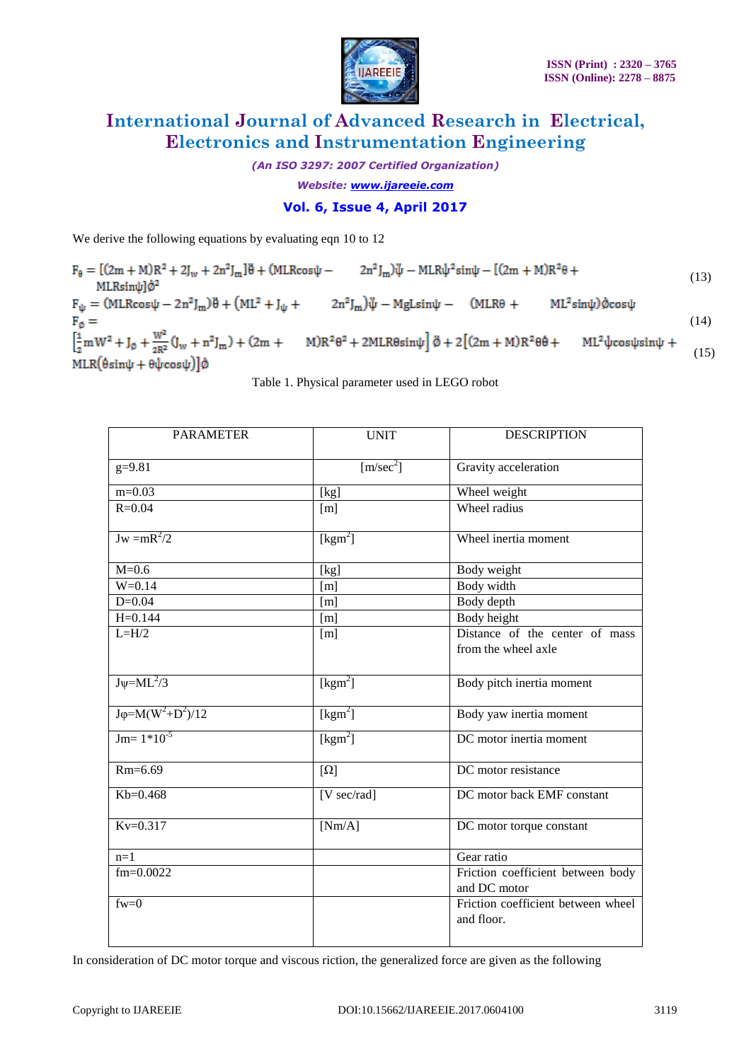

*(An ISO 3297: 2007 Certified Organization)*

*Website: www.ijareeie.com*

### **Vol. 6, Issue 4, April 2017**

We derive the following equations by evaluating eqn 10 to 12

 $F_{\theta} = [(2m + M)R^2 + 2J_w + 2n^2J_m]\ddot{\theta} + (MLR\cos\psi - 2n^2J_m)\ddot{\psi} - MLR\dot{\psi}^2\sin\psi - [(2m + M)R^2\theta +$ (13)MLRsinul<sup>d2</sup>  $F_{\psi} = (MLR \cos \psi - 2n^2 J_m)\ddot{\theta} + (ML^2 + J_{\psi} + 2n^2 J_m)\ddot{\psi} - Mgl \sin \psi - (MLR\theta + ML^2 \sin \psi)\dot{\phi} \cos \psi$  $F_{\emptyset} =$ (14)  $\left[\frac{1}{2}mW^2 + J_\emptyset + \frac{W^2}{2R^2}(J_w + n^2J_m) + (2m + M)R^2\theta^2 + 2MLR\theta sin\psi\right]\ddot{\phi} + 2[(2m + M)R^2\theta\dot{\theta} + ML^2\psi cos\psi sin\psi +$ (15)  $MLR(\hat{\theta}sin\psi + \theta\psi cos\psi)]\phi$ 

Table 1. Physical parameter used in LEGO robot

| <b>PARAMETER</b>             | <b>UNIT</b>                     | <b>DESCRIPTION</b>                               |
|------------------------------|---------------------------------|--------------------------------------------------|
| $g=9.81$                     | [m/sec <sup>2</sup> ]           | Gravity acceleration                             |
| $m=0.03$                     | [kg]                            | Wheel weight                                     |
| $R = 0.04$                   | [m]                             | Wheel radius                                     |
| $Jw = mR^2/2$                | [kgm <sup>2</sup> ]             | Wheel inertia moment                             |
| $M=0.6$                      | [kg]                            | Body weight                                      |
| $W = 0.14$                   | [m]                             | Body width                                       |
| $D=0.04$                     | [m]                             | Body depth                                       |
| $H = 0.144$                  | [m]                             | <b>Body</b> height                               |
| $L=H/2$                      | [m]                             | Distance of the center of mass                   |
|                              |                                 | from the wheel axle                              |
|                              |                                 |                                                  |
| $J\psi = ML^2/3$             | [kgm <sup>2</sup> ]             | Body pitch inertia moment                        |
| $J\varphi = M(W^2 + D^2)/12$ | [kgm <sup>2</sup> ]             | Body yaw inertia moment                          |
| $Jm=1*10^{-5}$               | [kgm <sup>2</sup> ]             | DC motor inertia moment                          |
| $Rm=6.69$                    | $[\Omega]$                      | DC motor resistance                              |
| $Kb=0.468$                   | $[V \overline{\text{sec/rad}}]$ | DC motor back EMF constant                       |
| $Kv=0.317$                   | [Nm/A]                          | DC motor torque constant                         |
| $n=1$                        |                                 | Gear ratio                                       |
| $fm = 0.0022$                |                                 | Friction coefficient between body                |
|                              |                                 | and DC motor                                     |
| $f_{W=0}$                    |                                 | Friction coefficient between wheel<br>and floor. |

In consideration of DC motor torque and viscous riction, the generalized force are given as the following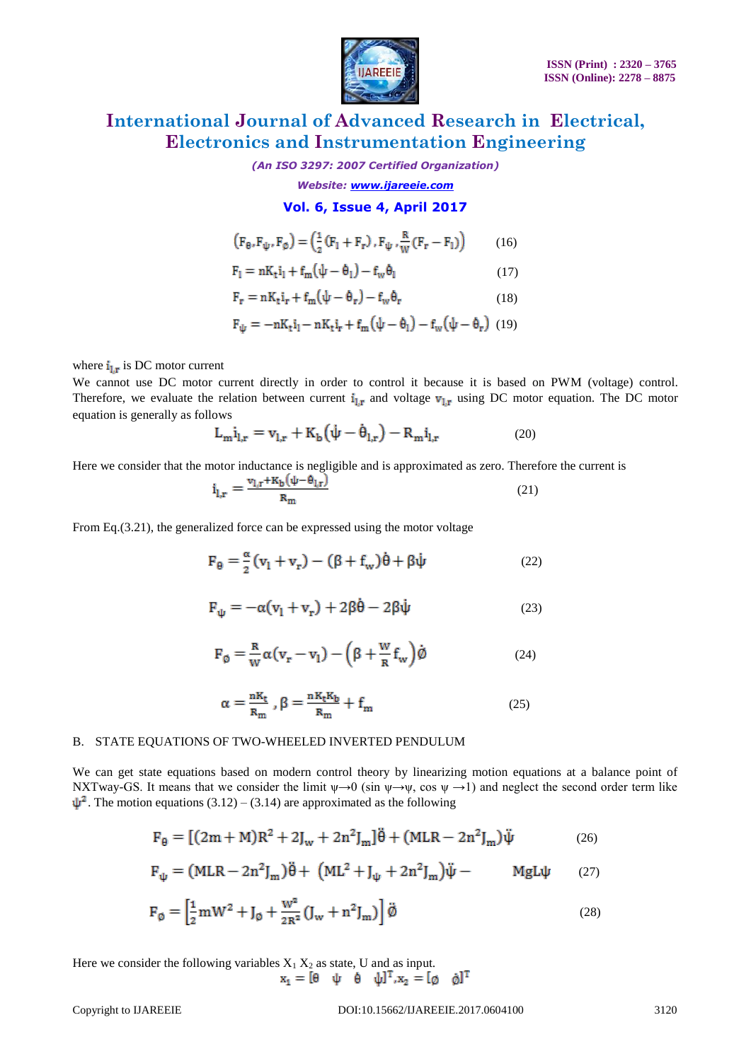

*(An ISO 3297: 2007 Certified Organization)*

*Website: www.ijareeie.com*

### **Vol. 6, Issue 4, April 2017**

$$
\left(\mathbf{F}_{\theta}, \mathbf{F}_{\psi}, \mathbf{F}_{\phi}\right) = \left(\frac{1}{2}\left(\mathbf{F}_{1} + \mathbf{F}_{\mathbf{r}}\right), \mathbf{F}_{\psi}, \frac{\mathbf{R}}{\mathbf{W}}\left(\mathbf{F}_{\mathbf{r}} - \mathbf{F}_{1}\right)\right) \tag{16}
$$

$$
F_1 = nK_t i_1 + f_m(\psi - \theta_1) - f_w \theta_1 \tag{17}
$$

$$
\mathbf{F}_{\mathbf{r}} = \mathbf{n} \mathbf{K}_{\mathbf{t}} \mathbf{i}_{\mathbf{r}} + \mathbf{f}_{\mathbf{m}} \big( \psi - \mathbf{\theta}_{\mathbf{r}} \big) - \mathbf{f}_{\mathbf{w}} \mathbf{\theta}_{\mathbf{r}} \tag{18}
$$

$$
F_{\psi}=-nK_t i_l-nK_t i_r+f_m\big(\psi-\theta_l\big)-f_w\big(\psi-\theta_r\big)~~(19)
$$

where  $i_{1,r}$  is DC motor current

We cannot use DC motor current directly in order to control it because it is based on PWM (voltage) control. Therefore, we evaluate the relation between current  $i_{1,r}$  and voltage  $v_{1,r}$  using DC motor equation. The DC motor equation is generally as follows

$$
L_{m}i_{l,r} = v_{l,r} + K_{b}(\dot{\psi} - \dot{\theta}_{l,r}) - R_{m}i_{l,r}
$$
 (20)

Here we consider that the motor inductance is negligible and is approximated as zero. Therefore the current is

$$
\mathbf{i}_{\mathbf{l},\mathbf{r}} = \frac{\mathbf{v}_{\mathbf{l},\mathbf{r}} + \mathbf{K}_{\mathbf{b}}(\psi - \mathbf{\theta}_{\mathbf{l},\mathbf{r}})}{\mathbf{R}_{\mathbf{m}}} \tag{21}
$$

From Eq.(3.21), the generalized force can be expressed using the motor voltage

$$
\mathbf{F}_{\theta} = \frac{\alpha}{2} \left( \mathbf{v}_{1} + \mathbf{v}_{r} \right) - \left( \beta + \mathbf{f}_{w} \right) \dot{\theta} + \beta \dot{\psi}
$$
 (22)

$$
F_{\psi} = -\alpha (v_1 + v_r) + 2\beta \dot{\theta} - 2\beta \dot{\psi}
$$
 (23)

$$
F_{\emptyset} = \frac{R}{W} \alpha (v_r - v_l) - (\beta + \frac{W}{R} f_w) \dot{\emptyset}
$$
 (24)

$$
\alpha = \frac{nK_t}{R_m}, \beta = \frac{nK_tK_b}{R_m} + f_m \tag{25}
$$

#### B. STATE EQUATIONS OF TWO-WHEELED INVERTED PENDULUM

We can get state equations based on modern control theory by linearizing motion equations at a balance point of NXTway-GS. It means that we consider the limit  $\psi \rightarrow 0$  (sin  $\psi \rightarrow \psi$ , cos  $\psi \rightarrow 1$ ) and neglect the second order term like  $\psi^2$ . The motion equations (3.12) – (3.14) are approximated as the following

$$
F_{\theta} = [(2m + M)R^{2} + 2J_{w} + 2n^{2}J_{m}] \ddot{\theta} + (MLR - 2n^{2}J_{m}) \ddot{\psi}
$$
 (26)

$$
\mathbf{F}_{\psi} = (MLR - 2n^2 J_m)\ddot{\theta} + (ML^2 + J_{\psi} + 2n^2 J_m)\ddot{\psi} - MgL\psi \qquad (27)
$$

$$
\mathbf{F}_{\emptyset} = \left[\frac{1}{2}\mathbf{m}\mathbf{W}^2 + \mathbf{J}_{\emptyset} + \frac{\mathbf{W}^2}{2\mathbf{R}^2}(\mathbf{J}_{\mathbf{w}} + \mathbf{n}^2\mathbf{J}_{\mathbf{m}})\right]\ddot{\emptyset}
$$
\n(28)

Here we consider the following variables  $X_1 X_2$  as state, U and as input.  $x_1 = [0 \quad \psi \quad 0 \quad \psi]^T, x_2 = [0 \quad \phi]^T$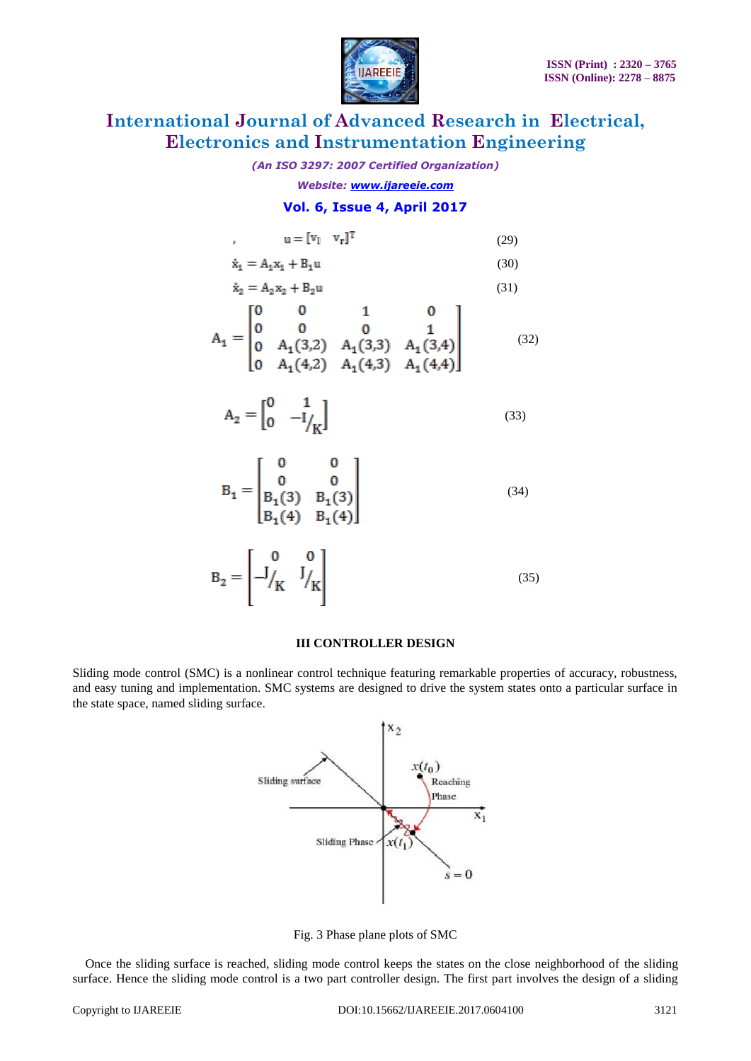

#### *(An ISO 3297: 2007 Certified Organization)*

*Website: www.ijareeie.com*

### **Vol. 6, Issue 4, April 2017**

$$
\mathbf{u} = [\mathbf{v}_1 \quad \mathbf{v}_r]^{\mathrm{T}}
$$
 (29)

$$
\dot{x}_1 = A_1 x_1 + B_1 u \tag{30}
$$

$$
\dot{x}_2 = A_2 x_2 + B_2 u \tag{31}
$$
\n
$$
A_1 = \begin{bmatrix} 0 & 0 & 1 & 0 \\ 0 & 0 & 0 & 1 \\ 0 & A_1(3,2) & A_1(3,3) & A_1(3,4) \\ 0 & A_1(4,2) & A_1(4,3) & A_1(4,4) \end{bmatrix} \tag{32}
$$

$$
A_2 = \begin{bmatrix} 0 & 1 \\ 0 & -I/\kappa \end{bmatrix} \tag{33}
$$

$$
B_1 = \begin{bmatrix} 0 & 0 \\ 0 & 0 \\ B_1(3) & B_1(3) \\ B_1(4) & B_1(4) \end{bmatrix}
$$
 (34)

$$
\mathbf{B}_2 = \begin{bmatrix} 0 & 0 \\ -J_K & J_K \end{bmatrix} \tag{35}
$$

#### **III CONTROLLER DESIGN**

Sliding mode control (SMC) is a nonlinear control technique featuring remarkable properties of accuracy, robustness, and easy tuning and implementation. SMC systems are designed to drive the system states onto a particular surface in the state space, named sliding surface.



Fig. 3 Phase plane plots of SMC

Once the sliding surface is reached, sliding mode control keeps the states on the close neighborhood of the sliding surface. Hence the sliding mode control is a two part controller design. The first part involves the design of a sliding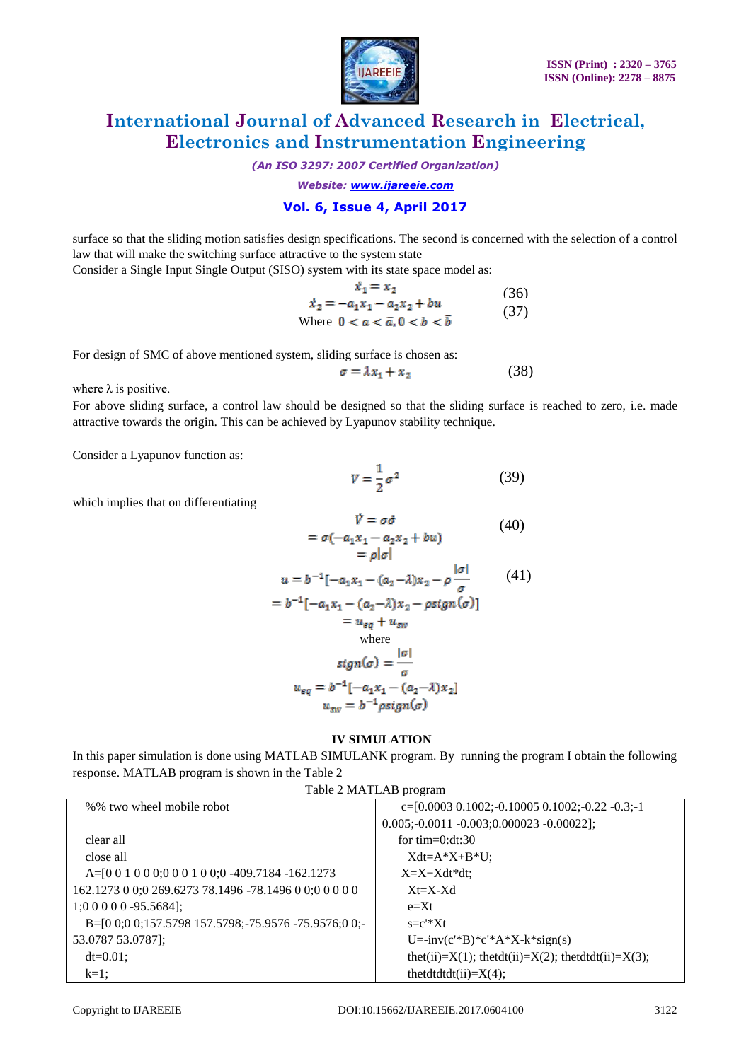

*(An ISO 3297: 2007 Certified Organization)*

*Website: www.ijareeie.com*

### **Vol. 6, Issue 4, April 2017**

surface so that the sliding motion satisfies design specifications. The second is concerned with the selection of a control law that will make the switching surface attractive to the system state

Consider a Single Input Single Output (SISO) system with its state space model as:

$$
\dot{x}_1 = x_2 \tag{36}
$$
\n
$$
\dot{x}_2 = -a_1 x_1 - a_2 x_2 + bu \tag{37}
$$
\nWhere  $0 < a < \bar{a}, 0 < b < \bar{b}$ 

For design of SMC of above mentioned system, sliding surface is chosen as:

$$
\sigma = \lambda x_1 + x_2 \tag{38}
$$

where  $\lambda$  is positive.

For above sliding surface, a control law should be designed so that the sliding surface is reached to zero, i.e. made attractive towards the origin. This can be achieved by Lyapunov stability technique.

Consider a Lyapunov function as:

$$
V = \frac{1}{2}\sigma^2\tag{39}
$$

which implies that on differentiating

$$
\vec{v} = \sigma \vec{\sigma}
$$
\n
$$
= \sigma(-a_1x_1 - a_2x_2 + bu)
$$
\n
$$
= \rho|\sigma|
$$
\n
$$
u = b^{-1}[-a_1x_1 - (a_2 - \lambda)x_2 - \rho \frac{|\sigma|}{\sigma} \qquad (41)
$$
\n
$$
= b^{-1}[-a_1x_1 - (a_2 - \lambda)x_2 - \rho \sin(\sigma)]
$$
\n
$$
= u_{eq} + u_{sw}
$$
\nwhere\n
$$
sign(\sigma) = \frac{|\sigma|}{\sigma}
$$
\n
$$
u_{eq} = b^{-1}[-a_1x_1 - (a_2 - \lambda)x_2]
$$
\n
$$
u_{sw} = b^{-1} \rho sign(\sigma)
$$
\n(40)

#### **IV SIMULATION**

In this paper simulation is done using MATLAB SIMULANK program. By running the program I obtain the following response. MATLAB program is shown in the Table 2

| Table 2 MATLAB program |  |
|------------------------|--|
|------------------------|--|

| %% two wheel mobile robot                                 | $c=[0.0003 \ 0.1002; -0.10005 \ 0.1002; -0.22 \ -0.3; -1]$     |
|-----------------------------------------------------------|----------------------------------------------------------------|
|                                                           | $0.005; -0.0011 -0.003; 0.000023 -0.00022);$                   |
| clear all                                                 | for $time0:dt:30$                                              |
| close all                                                 | $Xdt = A^*X + B^*U$ ;                                          |
| $A=$ [0 0 1 0 0 0;0 0 0 1 0 0;0 -409.7184 -162.1273       | $X=X+Xdt^*dt$                                                  |
| 162.1273 0 0;0 269.6273 78.1496 -78.1496 0 0;0 0 0 0 0 0  | $Xt = X-Xd$                                                    |
| $1;000000 -95.5684$ ;                                     | $e=xt$                                                         |
| $B=[0 0; 0 0; 157.5798 157.5798; -75.9576 -75.9576; 0 0;$ | $s = c' * Xt$                                                  |
| 53.0787 53.0787];                                         | $U = inv(c'*B)*c'*A*X-k*sign(s)$                               |
| $dt = 0.01$ ;                                             | thet(ii)= $X(1)$ ; thetdt(ii)= $X(2)$ ; thetdtdt(ii)= $X(3)$ ; |
| $k=1$ ;                                                   | thetdtdt $dt$ (ii)= $X(4)$ ;                                   |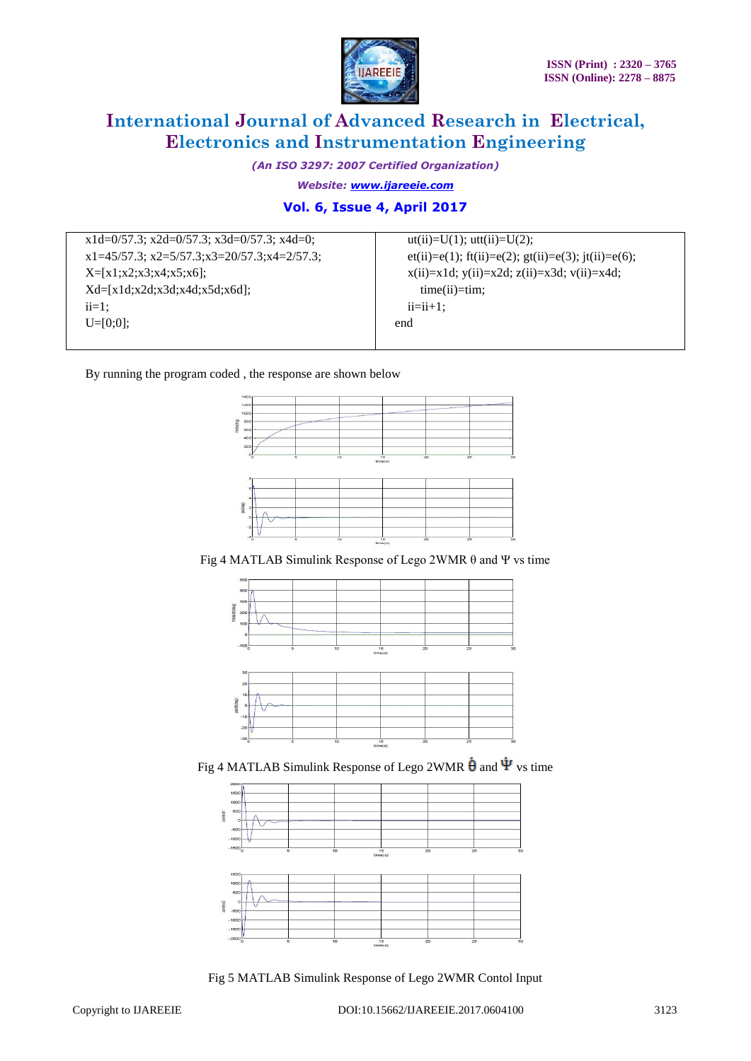

*(An ISO 3297: 2007 Certified Organization)*

*Website: www.ijareeie.com*

### **Vol. 6, Issue 4, April 2017**

x1d=0/57.3; x2d=0/57.3; x3d=0/57.3; x4d=0; x1=45/57.3; x2=5/57.3;x3=20/57.3;x4=2/57.3;  $X=[x1;x2;x3;x4;x5;x6];$ Xd=[x1d;x2d;x3d;x4d;x5d;x6d];  $ii=1$ ; U=[0;0];

 $ut(ii)=U(1); utt(ii)=U(2);$ et(ii)=e(1); ft(ii)=e(2); gt(ii)=e(3); jt(ii)=e(6);  $x(ii)=x1d; y(ii)=x2d; z(ii)=x3d; v(ii)=x4d;$  time(ii)=tim;  $ii=i+1;$ end

By running the program coded , the response are shown below



Fig 4 MATLAB Simulink Response of Lego 2WMR θ and Ψ vs time





Fig 4 MATLAB Simulink Response of Lego 2WMR  $\dot{\theta}$  and  $\dot{\Psi}$  vs time



Fig 5 MATLAB Simulink Response of Lego 2WMR Contol Input